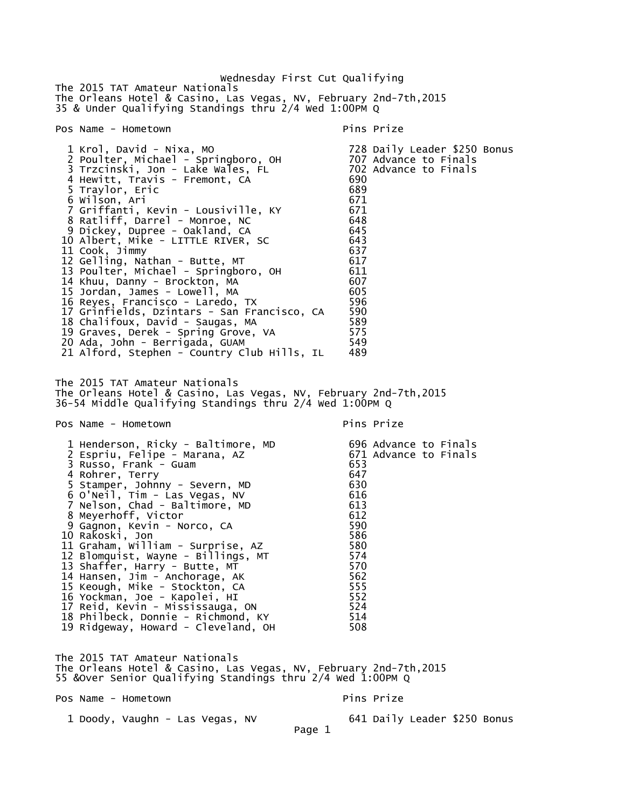Wednesday First Cut Qualifying The 2015 TAT Amateur Nationals The Orleans Hotel & Casino, Las Vegas, NV, February 2nd-7th,2015 35 & Under Qualifying Standings thru 2/4 Wed 1:00PM Q Pos Name - Hometown Pins Prize 1 Krol, David - Nixa, MO 728 Daily Leader \$250 Bonus 2 Poulter, Michael - Springboro, OH 707 Advance to Finals 3 Trzcinski, Jon - Lake Wales, FL 702 Advance to Finals 4 Hewitt, Travis - Fremont, CA 690 5 Traylor, Eric 689 6 Wilson, Ari 671 7 Griffanti, Kevin - Lousiville, KY 671 8 Ratliff, Darrel - Monroe, NC 648 9 Dickey, Dupree - Oakland, CA 645 10 Albert, Mike - LITTLE RIVER, SC 643 11 Cook, Jimmy 637 12 Gelling, Nathan - Butte, MT 617 13 Poulter, Michael - Springboro, OH 611 14 Khuu, Danny - Brockton, MA 607 15 Jordan, James - Lowell, MA 605 16 Reyes, Francisco - Laredo, TX 596 17 Grinfields, Dzintars - San Francisco, CA 590 18 Chalifoux, David - Saugas, MA 589 19 Graves, Derek - Spring Grove, VA 575 20 Ada, John - Berrigada, GUAM 549 21 Alford, Stephen - Country Club Hills, IL The 2015 TAT Amateur Nationals The Orleans Hotel & Casino, Las Vegas, NV, February 2nd-7th,2015 36-54 Middle Qualifying Standings thru 2/4 Wed 1:00PM Q Pos Name - Hometown entry the pins Prize pins Prize 1 Henderson, Ricky - Baltimore, MD 696 Advance to Finals 2 Espriu, Felipe - Marana, AZ 671 Advance to Finals 3 Russo, Frank - Guam 653 4 Rohrer, Terry 647 5 Stamper, Johnny - Severn, MD 630 6 O'Neil, Tim - Las Vegas, NV 616 7 Nelson, Chad - Baltimore, MD 613 8 Meyerhoff, Victor 612 9 Gagnon, Kevin - Norco, CA 10 Rakoski, Jon 586 11 Graham, William - Surprise, AZ 580 12 Blomquist, Wayne - Billings, MT 574 13 Shaffer, Harry - Butte, MT 570 14 Hansen, Jim - Anchorage, AK 562 15 Keough, Mike - Stockton, CA 555 16 Yockman, Joe - Kapolei, HI 552 17 Reid, Kevin - Mississauga, ON 524 18 Philbeck, Donnie - Richmond, KY 514 19 Ridgeway, Howard - Cleveland, OH The 2015 TAT Amateur Nationals The Orleans Hotel & Casino, Las Vegas, NV, February 2nd-7th,2015 55 &Over Senior Qualifying Standings thru 2/4 Wed 1:00PM Q Pos Name - Hometown entry the primary pins Prize 1 Doody, Vaughn - Las Vegas, NV 641 Daily Leader \$250 Bonus Page 1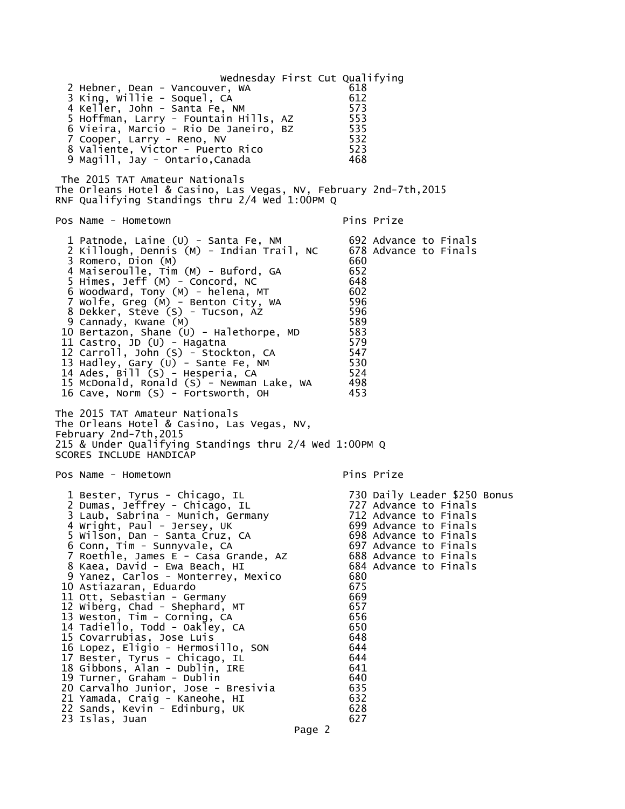Wednesday First Cut Qualifying 2 Hebner, Dean - Vancouver, WA 618 3 King, Willie - Soquel, CA 612 4 Keller, John - Santa Fe, NM 5 Hoffman, Larry - Fountain Hills, AZ 553 6 Vieira, Marcio - Rio De Janeiro, BZ 535 7 Cooper, Larry - Reno, NV 532 8 Valiente, Victor - Puerto Rico 523 9 Magill, Jay - Ontario, Canada The 2015 TAT Amateur Nationals The Orleans Hotel & Casino, Las Vegas, NV, February 2nd-7th,2015 RNF Qualifying Standings thru 2/4 Wed 1:00PM Q Pos Name - Hometown entitled a series of the Pins Prize 1 Patnode, Laine (U) - Santa Fe, NM 692 Advance to Finals 2 Killough, Dennis (M) - Indian Trail, NC 3 Romero, Dion (M) 660 4 Maiseroulle, Tim (M) - Buford, GA 652 5 Himes, Jeff (M) - Concord, NC 648 6 Woodward, Tony (M) - helena, MT 602 7 Wolfe, Greg (M) - Benton City, WA 596 8 Dekker, Steve (S) - Tucson, AZ 596 9 Cannady, Kwane (M) 589 10 Bertazon, Shane (U) - Halethorpe, MD 583<br>11 Castro, JD (U) - Hagatna 11 Castro, JD (U) - Hagatna 579 12 Carroll, John (S) - Stockton, CA 547 13 Hadley, Gary (U) - Sante Fe, NM 530 14 Ades, Bill (S) - Hesperia, CA 524 15 McDonald, Ronald (S) - Newman Lake, WA 498<br>16 Cave, Norm (S) - Fortsworth, OH 453 16 Cave, Norm (S) - Fortsworth, OH The 2015 TAT Amateur Nationals The Orleans Hotel & Casino, Las Vegas, NV, February 2nd-7th,2015 215 & Under Qualifying Standings thru 2/4 Wed 1:00PM Q SCORES INCLUDE HANDICAP Pos Name - Hometown entitled a series of the Pins Prize 1 Bester, Tyrus - Chicago, IL 730 Daily Leader \$250 Bonus 2 Dumas, Jeffrey - Chicago, IL 727 Advance to Finals 3 Laub, Sabrina - Munich, Germany 712 Advance to Finals 4 Wright, Paul - Jersey, UK 1988 1999 Advance to Finals 5 Wilson, Dan - Santa Cruz, CA 698 Advance to Finals 6 Conn, Tim - Sunnyvale, CA 697 Advance to Finals 7 Roethle, James E - Casa Grande, AZ 688 Advance to Finals 8 Kaea, David - Ewa Beach, HI 9 Yanez, Carlos - Monterrey, Mexico 680 10 Astiazaran, Eduardo 11 Ott, Sebastian - Germany 669 12 Wiberg, Chad - Shephard, MT 657 13 Weston, Tim - Corning, CA 14 Tadiello, Todd - Oakley, CA 650 15 Covarrubias, Jose Luis 648 16 Lopez, Eligio - Hermosillo, SON 644 17 Bester, Tyrus - Chicago, IL 644 18 Gibbons, Alan - Dublin, IRE 641 19 Turner, Graham - Dublin 640 20 Carvalho Junior, Jose - Bresivia 635 21 Yamada, Craig - Kaneohe, HI 632 22 Sands, Kevin - Edinburg, UK 628 23 Islas, Juan 627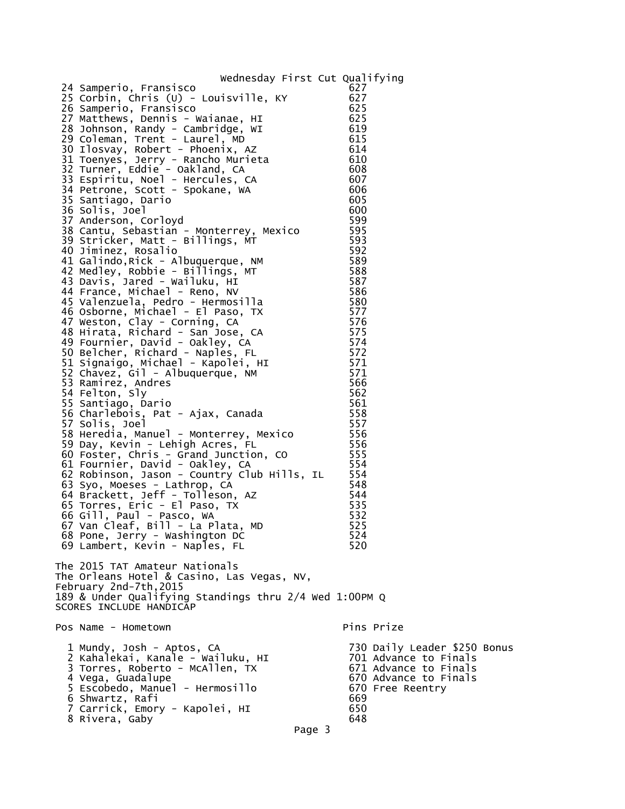## Wednesday First Cut Qualifying

| 24 Samperio, Fransisco<br>25 Corbin, Chris (U) - Louisville, KY<br>26 Samperio, Fransisco<br>27 Matthews, Dennis - Waianae, HI<br>28 Johnson, Randy - Cambridge, WI<br>29 Coleman, Trent - Laurel, MD<br>30 Ilosvay, Robert - Phoenix, AZ<br>31 Toenyes, Jerry - Rancho Murieta<br>32 Turner, Eddie - Oakland, CA<br>33 Espiritu, Noel - Hercules, CA<br>34 Petrone, Scott - Spokane, WA<br>35 Santiago, Dario<br>36 Solis, Joel<br>37 Anderson, Corloyd<br>38 Cantu, Sebastian - Monterrey, Mexico<br>39 Stricker, Matt - Billings, MT<br>40 Jiminez, Rosalio<br>41 Galindo, Rick - Albuquerque, NM<br>42 Medley, Robbie - Billings, MT<br>43 Davis, Jared - Wailuku, HI<br>44 France, Michael - Reno, NV<br>45 Valenzuela, Pedro - Hermosilla<br>46 Osborne, Michael - El Paso, TX<br>47 Weston, Clay - Corning, CA<br>48 Hirata, Richard - San Jose, CA<br>49 Fournier, David - Oakley, CA<br>50 Belcher, Richard - Naples, FL<br>51 Signaigo, Michael - Kapolei, HI<br>52 Chavez, Gil - Albuquerque, NM<br>53 Ramirez, Andres<br>54 Felton, Sly<br>55 Santiago, Dario<br>56 Charlebois, Pat - Ajax, Canada<br>57 Solis, Joel<br>58 Heredia, Manuel - Monterrey, Mexico<br>59 Day, Kevin - Lehigh Acres, FL<br>60 Foster, Chris - Grand Junction, CO<br>61 Fournier, David - Oakley, CA<br>62 Robinson, Jason - Country Club Hills, IL<br>63 Syo, Moeses - Lathrop, CA<br>64 Brackett, Jeff - Tolleson, AZ<br>65 Torres, Eric - El Paso, TX<br>66 Gill, Paul - Pasco, WA<br>67 Van Cleaf, Bill - La Plata, MD<br>68 Pone, Jerry - Washington DC<br>69 Lambert, Kevin - Naples, FL<br>The 2015 TAT Amateur Nationals<br>The Orleans Hotel & Casino, Las Vegas, NV, | 627<br>627<br>625<br>625<br>619<br>615<br>614<br>610<br>608<br>607<br>606<br>605<br>600<br>599<br>595<br>593<br>592<br>589<br>588<br>587<br>586<br>580<br>577<br>576<br>575<br>574<br>572<br>571<br>571<br>566<br>562<br>561<br>558<br>557<br>556<br>556<br>555<br>554<br>554<br>548<br>544<br>535<br>532<br>525<br>524<br>520 |
|----------------------------------------------------------------------------------------------------------------------------------------------------------------------------------------------------------------------------------------------------------------------------------------------------------------------------------------------------------------------------------------------------------------------------------------------------------------------------------------------------------------------------------------------------------------------------------------------------------------------------------------------------------------------------------------------------------------------------------------------------------------------------------------------------------------------------------------------------------------------------------------------------------------------------------------------------------------------------------------------------------------------------------------------------------------------------------------------------------------------------------------------------------------------------------------------------------------------------------------------------------------------------------------------------------------------------------------------------------------------------------------------------------------------------------------------------------------------------------------------------------------------------------------------------------------------------------------------------------------------------------------------------------------------|--------------------------------------------------------------------------------------------------------------------------------------------------------------------------------------------------------------------------------------------------------------------------------------------------------------------------------|
| February 2nd-7th, 2015<br>189 & Under Qualifying Standings thru 2/4 wed 1:00PM Q<br>SCORES INCLUDE HANDICAP                                                                                                                                                                                                                                                                                                                                                                                                                                                                                                                                                                                                                                                                                                                                                                                                                                                                                                                                                                                                                                                                                                                                                                                                                                                                                                                                                                                                                                                                                                                                                          |                                                                                                                                                                                                                                                                                                                                |
| Pos Name - Hometown                                                                                                                                                                                                                                                                                                                                                                                                                                                                                                                                                                                                                                                                                                                                                                                                                                                                                                                                                                                                                                                                                                                                                                                                                                                                                                                                                                                                                                                                                                                                                                                                                                                  | Pins Prize                                                                                                                                                                                                                                                                                                                     |
| 1 Mundy, Josh - Aptos, CA<br>2 Kahalekai, Kanale - Wailuku, HI<br>3 Torres, Roberto - McAllen, TX<br>4 Vega, Guadalupe<br>5 Escobedo, Manuel - Hermosillo<br>6 Shwartz, Rafi<br>7 Carrick, Emory - Kapolei, HI<br>8 Rivera, Gaby                                                                                                                                                                                                                                                                                                                                                                                                                                                                                                                                                                                                                                                                                                                                                                                                                                                                                                                                                                                                                                                                                                                                                                                                                                                                                                                                                                                                                                     | 730 Daily Leader \$250 Bonus<br>701 Advance to Finals<br>671 Advance to Finals<br>670 Advance to Finals<br>670 Free Reentry<br>669<br>650<br>648                                                                                                                                                                               |

Page 3